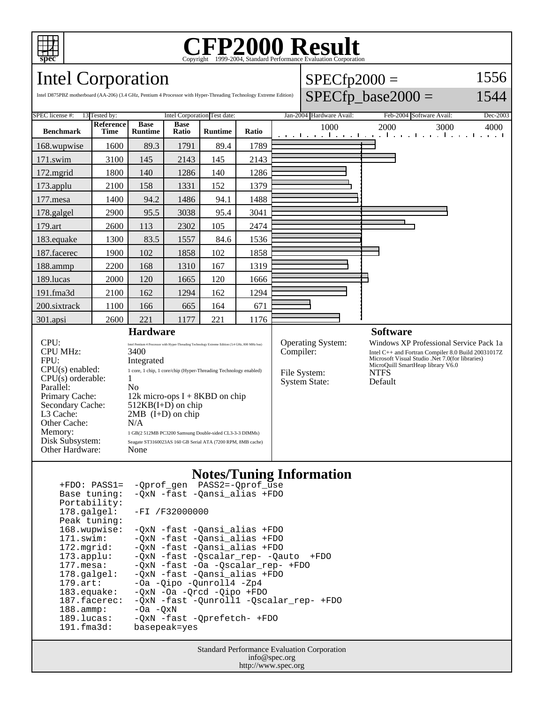

Other Cache:<br>Memory:

Other Hardware:

# Copyright ©1999-2004, Standard Performance Evaluation Corporation

 $SPECTD2000 =$ 

1556

# Intel Corporation

| $SPECfp\_base2000 =$<br>Intel D875PBZ motherboard (AA-206) (3.4 GHz, Pentium 4 Processor with Hyper-Threading Technology Extreme Edition)                                                                                                                                                                                                                                                                                                                                  |                   |                               |                              |                |       |                 |                                                                  |                                                                                                                                                                                                                 | 1544     |
|----------------------------------------------------------------------------------------------------------------------------------------------------------------------------------------------------------------------------------------------------------------------------------------------------------------------------------------------------------------------------------------------------------------------------------------------------------------------------|-------------------|-------------------------------|------------------------------|----------------|-------|-----------------|------------------------------------------------------------------|-----------------------------------------------------------------------------------------------------------------------------------------------------------------------------------------------------------------|----------|
| SPEC license #:<br>13 Tested by:                                                                                                                                                                                                                                                                                                                                                                                                                                           |                   |                               | Intel Corporation Test date: |                |       |                 | Jan-2004 Hardware Avail:                                         | Feb-2004 Software Avail:                                                                                                                                                                                        | Dec-2003 |
| <b>Benchmark</b>                                                                                                                                                                                                                                                                                                                                                                                                                                                           | Reference<br>Time | <b>Base</b><br><b>Runtime</b> | <b>Base</b><br>Ratio         | <b>Runtime</b> | Ratio |                 | 1000                                                             | 2000<br>3000<br>المتواطن وبالمتواطن والمتواطن والمتواطن والمتو                                                                                                                                                  | 4000     |
| 168.wupwise                                                                                                                                                                                                                                                                                                                                                                                                                                                                | 1600              | 89.3                          | 1791                         | 89.4           | 1789  |                 |                                                                  |                                                                                                                                                                                                                 |          |
| $171$ .swim                                                                                                                                                                                                                                                                                                                                                                                                                                                                | 3100              | 145                           | 2143                         | 145            | 2143  |                 |                                                                  |                                                                                                                                                                                                                 |          |
| $172$ .mgrid                                                                                                                                                                                                                                                                                                                                                                                                                                                               | 1800              | 140                           | 1286                         | 140            | 1286  |                 |                                                                  |                                                                                                                                                                                                                 |          |
| $173$ .applu                                                                                                                                                                                                                                                                                                                                                                                                                                                               | 2100              | 158                           | 1331                         | 152            | 1379  |                 |                                                                  |                                                                                                                                                                                                                 |          |
| 177.mesa                                                                                                                                                                                                                                                                                                                                                                                                                                                                   | 1400              | 94.2                          | 1486                         | 94.1           | 1488  |                 |                                                                  |                                                                                                                                                                                                                 |          |
| 178.galgel                                                                                                                                                                                                                                                                                                                                                                                                                                                                 | 2900              | 95.5                          | 3038                         | 95.4           | 3041  |                 |                                                                  |                                                                                                                                                                                                                 |          |
| 179.art                                                                                                                                                                                                                                                                                                                                                                                                                                                                    | 2600              | 113                           | 2302                         | 105            | 2474  |                 |                                                                  |                                                                                                                                                                                                                 |          |
| 183.equake                                                                                                                                                                                                                                                                                                                                                                                                                                                                 | 1300              | 83.5                          | 1557                         | 84.6           | 1536  |                 |                                                                  |                                                                                                                                                                                                                 |          |
| 187.facerec                                                                                                                                                                                                                                                                                                                                                                                                                                                                | 1900              | 102                           | 1858                         | 102            | 1858  |                 |                                                                  |                                                                                                                                                                                                                 |          |
| 188.ammp                                                                                                                                                                                                                                                                                                                                                                                                                                                                   | 2200              | 168                           | 1310                         | 167            | 1319  |                 |                                                                  |                                                                                                                                                                                                                 |          |
| 189.lucas                                                                                                                                                                                                                                                                                                                                                                                                                                                                  | 2000              | 120                           | 1665                         | 120            | 1666  |                 |                                                                  |                                                                                                                                                                                                                 |          |
| 191.fma3d                                                                                                                                                                                                                                                                                                                                                                                                                                                                  | 2100              | 162                           | 1294                         | 162            | 1294  |                 |                                                                  |                                                                                                                                                                                                                 |          |
| 200.sixtrack                                                                                                                                                                                                                                                                                                                                                                                                                                                               | 1100              | 166                           | 665                          | 164            | 671   |                 |                                                                  |                                                                                                                                                                                                                 |          |
| 301.apsi                                                                                                                                                                                                                                                                                                                                                                                                                                                                   | 2600              | 221                           | 1177                         | 221            | 1176  |                 |                                                                  |                                                                                                                                                                                                                 |          |
| <b>Hardware</b>                                                                                                                                                                                                                                                                                                                                                                                                                                                            |                   |                               |                              |                |       | <b>Software</b> |                                                                  |                                                                                                                                                                                                                 |          |
| CPU:<br>Intel Pentium 4 Processor with Hyper-Threading Technology Extreme Edition (3.4 GHz, 800 MHz bus)<br><b>CPU MHz:</b><br>3400<br>FPU:<br>Integrated<br>$CPU(s)$ enabled:<br>1 core, 1 chip, 1 core/chip (Hyper-Threading Technology enabled)<br>$CPU(s)$ orderable:<br>1<br>Parallel:<br>N <sub>0</sub><br>12k micro-ops $I + 8KBD$ on chip<br>Primary Cache:<br>$512KB(I+D)$ on chip<br>Secondary Cache:<br>L3 Cache:<br>$2MB$ (I+D) on chip<br>N/A<br>Other Cache: |                   |                               |                              |                |       | Compiler:       | <b>Operating System:</b><br>File System:<br><b>System State:</b> | Windows XP Professional Service Pack 1a<br>Intel C++ and Fortran Compiler 8.0 Build 20031017Z<br>Microsoft Visual Studio .Net 7.0(for libraries)<br>MicroQuill SmartHeap library V6.0<br><b>NTFS</b><br>Default |          |

## **Notes/Tuning Information**

| $+FDO: PASS1=$        | -Oprof gen PASS2=-Oprof use               |
|-----------------------|-------------------------------------------|
| Base tuning:          | -QxN -fast -Qansi_alias +FDO              |
| Portability:          |                                           |
| $178.\text{qalgel}$ : | $-FI / F32000000$                         |
| Peak tuning:          |                                           |
| 168.wupwise:          | -QxN -fast -Qansi_alias +FDO              |
| 171.swim:             | -OxN -fast -Oansi alias +FDO              |
| $172.\text{mgrid}:$   | -OxN -fast -Oansi alias +FDO              |
| $173.\text{applu}:$   | -OxN -fast -Oscalar rep- -Oauto<br>$+FDO$ |
| $177.\text{mesa}$ :   | -OxN -fast -Oa -Oscalar rep- +FDO         |
| $178.\text{qalgel}$ : | -OxN -fast -Oansi alias +FDO              |
| $179.\text{art}$ :    | -Oa -Oipo -Ounroll4 -Zp4                  |
| $183$ .equake:        | $-0xN$ $-0a$ $-0rcd$ $-0ipo$ $+FD0$       |
| 187.facerec:          | -QxN -fast -Qunroll1 -Qscalar_rep- +FDO   |
| $188.\text{amm}:$     | $-0a$ $-0xN$                              |
| $189.$ lucas:         | -OxN -fast -Oprefetch- +FDO               |
| $191.f$ ma $3d$ :     | basepeak=yes                              |

 $\textbf{None} \xspace$ Seagate ST3160023AS 160 GB Serial ATA (7200 RPM, 8MB cache)

Memory: 1 GB(2 512MB PC3200 Samsung Double-sided CL3-3-3 DIMMs)<br>
Disk Subsystem: Seagate ST3160023AS 160 GB Serial ATA (7200 RPM, 8MB cache

Standard Performance Evaluation Corporation info@spec.org http://www.spec.org